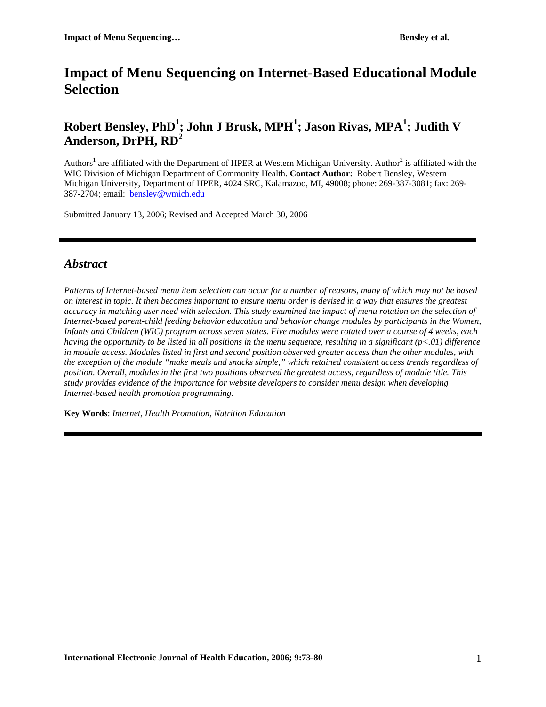# **Impact of Menu Sequencing on Internet-Based Educational Module Selection**

## $\mathbf{R}$ obert Bensley, PhD<sup>1</sup>; John J Brusk, MPH<sup>1</sup>; Jason Rivas, MPA<sup>1</sup>; Judith V **Anderson, DrPH, RD<sup>2</sup>**

Authors<sup>1</sup> are affiliated with the Department of HPER at Western Michigan University. Author<sup>2</sup> is affiliated with the WIC Division of Michigan Department of Community Health. **Contact Author:** Robert Bensley, Western Michigan University, Department of HPER, 4024 SRC, Kalamazoo, MI, 49008; phone: 269-387-3081; fax: 269- 387-2704; email: [bensley@wmich.edu](mailto:len_novilla@byu.edu) 

Submitted January 13, 2006; Revised and Accepted March 30, 2006

## *Abstract*

*Patterns of Internet-based menu item selection can occur for a number of reasons, many of which may not be based on interest in topic. It then becomes important to ensure menu order is devised in a way that ensures the greatest accuracy in matching user need with selection. This study examined the impact of menu rotation on the selection of Internet-based parent-child feeding behavior education and behavior change modules by participants in the Women, Infants and Children (WIC) program across seven states. Five modules were rotated over a course of 4 weeks, each having the opportunity to be listed in all positions in the menu sequence, resulting in a significant (p<.01) difference in module access. Modules listed in first and second position observed greater access than the other modules, with the exception of the module "make meals and snacks simple," which retained consistent access trends regardless of position. Overall, modules in the first two positions observed the greatest access, regardless of module title. This study provides evidence of the importance for website developers to consider menu design when developing Internet-based health promotion programming.* 

**Key Words**: *Internet, Health Promotion, Nutrition Education*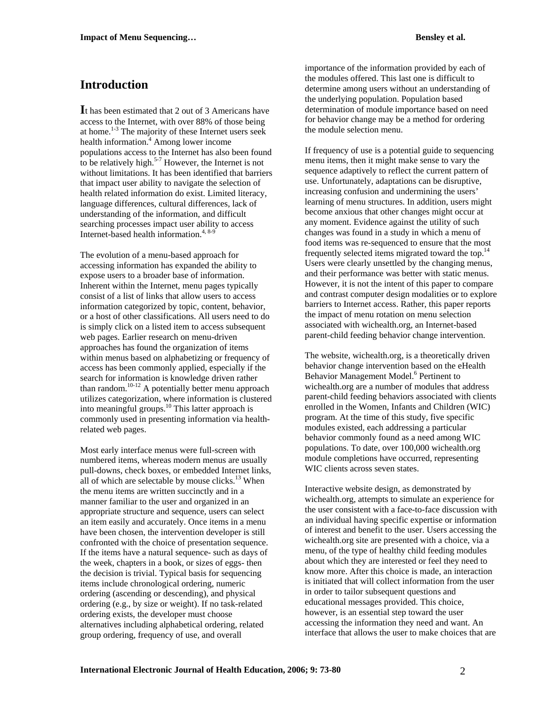## **Introduction**

**I**t has been estimated that 2 out of 3 Americans have access to the Internet, with over 88% of those being at home.<sup>1-3</sup> The majority of these Internet users seek health information.<sup>4</sup> Among lower income populations access to the Internet has also been found to be relatively high.<sup>5-7</sup> However, the Internet is not without limitations. It has been identified that barriers that impact user ability to navigate the selection of health related information do exist. Limited literacy, language differences, cultural differences, lack of understanding of the information, and difficult searching processes impact user ability to access Internet-based health information.<sup>4, 8-9</sup>

The evolution of a menu-based approach for accessing information has expanded the ability to expose users to a broader base of information. Inherent within the Internet, menu pages typically consist of a list of links that allow users to access information categorized by topic, content, behavior, or a host of other classifications. All users need to do is simply click on a listed item to access subsequent web pages. Earlier research on menu-driven approaches has found the organization of items within menus based on alphabetizing or frequency of access has been commonly applied, especially if the search for information is knowledge driven rather than random.10-12 A potentially better menu approach utilizes categorization, where information is clustered into meaningful groups.10 This latter approach is commonly used in presenting information via healthrelated web pages.

Most early interface menus were full-screen with numbered items, whereas modern menus are usually pull-downs, check boxes, or embedded Internet links, all of which are selectable by mouse clicks. $13$  When the menu items are written succinctly and in a manner familiar to the user and organized in an appropriate structure and sequence, users can select an item easily and accurately. Once items in a menu have been chosen, the intervention developer is still confronted with the choice of presentation sequence. If the items have a natural sequence- such as days of the week, chapters in a book, or sizes of eggs- then the decision is trivial. Typical basis for sequencing items include chronological ordering, numeric ordering (ascending or descending), and physical ordering (e.g., by size or weight). If no task-related ordering exists, the developer must choose alternatives including alphabetical ordering, related group ordering, frequency of use, and overall

importance of the information provided by each of the modules offered. This last one is difficult to determine among users without an understanding of the underlying population. Population based determination of module importance based on need for behavior change may be a method for ordering the module selection menu.

If frequency of use is a potential guide to sequencing menu items, then it might make sense to vary the sequence adaptively to reflect the current pattern of use. Unfortunately, adaptations can be disruptive, increasing confusion and undermining the users' learning of menu structures. In addition, users might become anxious that other changes might occur at any moment. Evidence against the utility of such changes was found in a study in which a menu of food items was re-sequenced to ensure that the most frequently selected items migrated toward the top.14 Users were clearly unsettled by the changing menus, and their performance was better with static menus. However, it is not the intent of this paper to compare and contrast computer design modalities or to explore barriers to Internet access. Rather, this paper reports the impact of menu rotation on menu selection associated with wichealth.org, an Internet-based parent-child feeding behavior change intervention.

The website, wichealth.org, is a theoretically driven behavior change intervention based on the eHealth Behavior Management Model.<sup>6</sup> Pertinent to wichealth.org are a number of modules that address parent-child feeding behaviors associated with clients enrolled in the Women, Infants and Children (WIC) program. At the time of this study, five specific modules existed, each addressing a particular behavior commonly found as a need among WIC populations. To date, over 100,000 wichealth.org module completions have occurred, representing WIC clients across seven states.

Interactive website design, as demonstrated by wichealth.org, attempts to simulate an experience for the user consistent with a face-to-face discussion with an individual having specific expertise or information of interest and benefit to the user. Users accessing the wichealth.org site are presented with a choice, via a menu, of the type of healthy child feeding modules about which they are interested or feel they need to know more. After this choice is made, an interaction is initiated that will collect information from the user in order to tailor subsequent questions and educational messages provided. This choice, however, is an essential step toward the user accessing the information they need and want. An interface that allows the user to make choices that are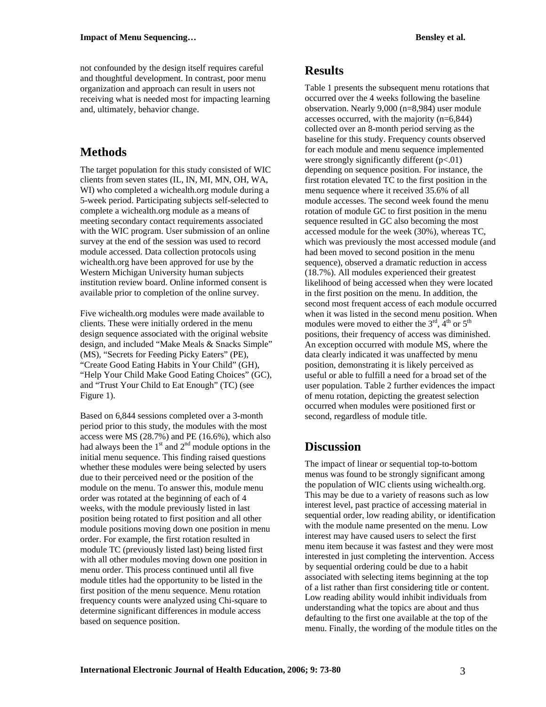not confounded by the design itself requires careful and thoughtful development. In contrast, poor menu organization and approach can result in users not receiving what is needed most for impacting learning and, ultimately, behavior change.

#### **Methods**

The target population for this study consisted of WIC clients from seven states (IL, IN, MI, MN, OH, WA, WI) who completed a wichealth.org module during a 5-week period. Participating subjects self-selected to complete a wichealth.org module as a means of meeting secondary contact requirements associated with the WIC program. User submission of an online survey at the end of the session was used to record module accessed. Data collection protocols using wichealth.org have been approved for use by the Western Michigan University human subjects institution review board. Online informed consent is available prior to completion of the online survey.

Five wichealth.org modules were made available to clients. These were initially ordered in the menu design sequence associated with the original website design, and included "Make Meals & Snacks Simple" (MS), "Secrets for Feeding Picky Eaters" (PE), "Create Good Eating Habits in Your Child" (GH), "Help Your Child Make Good Eating Choices" (GC), and "Trust Your Child to Eat Enough" (TC) (see Figure 1).

Based on 6,844 sessions completed over a 3-month period prior to this study, the modules with the most access were MS (28.7%) and PE (16.6%), which also had always been the  $1<sup>st</sup>$  and  $2<sup>nd</sup>$  module options in the initial menu sequence. This finding raised questions whether these modules were being selected by users due to their perceived need or the position of the module on the menu. To answer this, module menu order was rotated at the beginning of each of 4 weeks, with the module previously listed in last position being rotated to first position and all other module positions moving down one position in menu order. For example, the first rotation resulted in module TC (previously listed last) being listed first with all other modules moving down one position in menu order. This process continued until all five module titles had the opportunity to be listed in the first position of the menu sequence. Menu rotation frequency counts were analyzed using Chi-square to determine significant differences in module access based on sequence position.

#### **Results**

Table 1 presents the subsequent menu rotations that occurred over the 4 weeks following the baseline observation. Nearly 9,000 (n=8,984) user module accesses occurred, with the majority (n=6,844) collected over an 8-month period serving as the baseline for this study. Frequency counts observed for each module and menu sequence implemented were strongly significantly different  $(p<.01)$ depending on sequence position. For instance, the first rotation elevated TC to the first position in the menu sequence where it received 35.6% of all module accesses. The second week found the menu rotation of module GC to first position in the menu sequence resulted in GC also becoming the most accessed module for the week (30%), whereas TC, which was previously the most accessed module (and had been moved to second position in the menu sequence), observed a dramatic reduction in access (18.7%). All modules experienced their greatest likelihood of being accessed when they were located in the first position on the menu. In addition, the second most frequent access of each module occurred when it was listed in the second menu position. When modules were moved to either the  $3<sup>rd</sup>$ ,  $4<sup>th</sup>$  or  $5<sup>th</sup>$ positions, their frequency of access was diminished. An exception occurred with module MS, where the data clearly indicated it was unaffected by menu position, demonstrating it is likely perceived as useful or able to fulfill a need for a broad set of the user population. Table 2 further evidences the impact of menu rotation, depicting the greatest selection occurred when modules were positioned first or second, regardless of module title.

## **Discussion**

The impact of linear or sequential top-to-bottom menus was found to be strongly significant among the population of WIC clients using wichealth.org. This may be due to a variety of reasons such as low interest level, past practice of accessing material in sequential order, low reading ability, or identification with the module name presented on the menu. Low interest may have caused users to select the first menu item because it was fastest and they were most interested in just completing the intervention. Access by sequential ordering could be due to a habit associated with selecting items beginning at the top of a list rather than first considering title or content. Low reading ability would inhibit individuals from understanding what the topics are about and thus defaulting to the first one available at the top of the menu. Finally, the wording of the module titles on the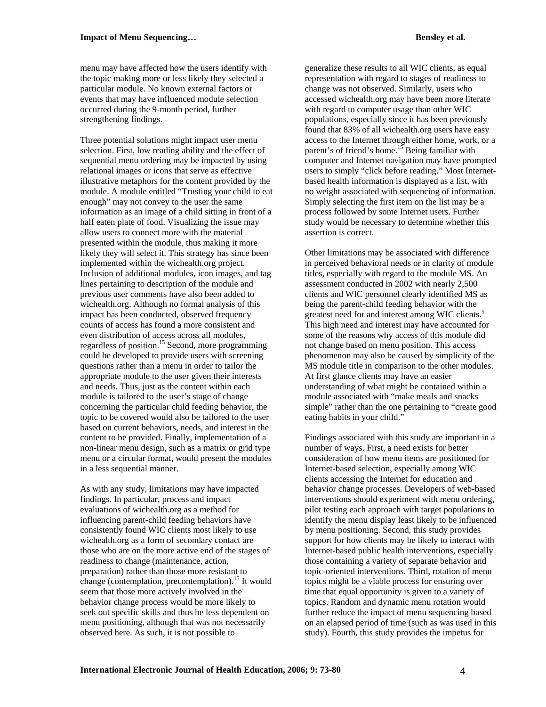menu may have affected how the users identify with the topic making more or less likely they selected a particular module. No known external factors or events that may have influenced module selection occurred during the 9-month period, further strengthening findings.

Three potential solutions might impact user menu selection. First, low reading ability and the effect of sequential menu ordering may be impacted by using relational images or icons that serve as effective illustrative metaphors for the content provided by the module. A module entitled "Trusting your child to eat enough" may not convey to the user the same information as an image of a child sitting in front of a half eaten plate of food. Visualizing the issue may allow users to connect more with the material presented within the module, thus making it more likely they will select it. This strategy has since been implemented within the wichealth.org project. Inclusion of additional modules, icon images, and tag lines pertaining to description of the module and previous user comments have also been added to wichealth.org. Although no formal analysis of this impact has been conducted, observed frequency counts of access has found a more consistent and even distribution of access across all modules, regardless of position.<sup>15</sup> Second, more programming could be developed to provide users with screening questions rather than a menu in order to tailor the appropriate module to the user given their interests and needs. Thus, just as the content within each module is tailored to the user's stage of change concerning the particular child feeding behavior, the topic to be covered would also be tailored to the user based on current behaviors, needs, and interest in the content to be provided. Finally, implementation of a non-linear menu design, such as a matrix or grid type menu or a circular format, would present the modules in a less sequential manner.

As with any study, limitations may have impacted findings. In particular, process and impact evaluations of wichealth.org as a method for influencing parent-child feeding behaviors have consistently found WIC clients most likely to use wichealth.org as a form of secondary contact are those who are on the more active end of the stages of readiness to change (maintenance, action, preparation) rather than those more resistant to change (contemplation, precontemplation).<sup>15</sup> It would seem that those more actively involved in the behavior change process would be more likely to seek out specific skills and thus be less dependent on menu positioning, although that was not necessarily observed here. As such, it is not possible to

generalize these results to all WIC clients, as equal representation with regard to stages of readiness to change was not observed. Similarly, users who accessed wichealth.org may have been more literate with regard to computer usage than other WIC populations, especially since it has been previously found that 83% of all wichealth.org users have easy access to the Internet through either home, work, or a parent's of friend's home.<sup>15</sup> Being familiar with computer and Internet navigation may have prompted users to simply "click before reading." Most Internetbased health information is displayed as a list, with no weight associated with sequencing of information. Simply selecting the first item on the list may be a process followed by some Internet users. Further study would be necessary to determine whether this assertion is correct.

Other limitations may be associated with difference in perceived behavioral needs or in clarity of module titles, especially with regard to the module MS. An assessment conducted in 2002 with nearly 2,500 clients and WIC personnel clearly identified MS as being the parent-child feeding behavior with the greatest need for and interest among WIC clients.<sup>5</sup> This high need and interest may have accounted for some of the reasons why access of this module did not change based on menu position. This access phenomenon may also be caused by simplicity of the MS module title in comparison to the other modules. At first glance clients may have an easier understanding of what might be contained within a module associated with "make meals and snacks simple" rather than the one pertaining to "create good eating habits in your child."

Findings associated with this study are important in a number of ways. First, a need exists for better consideration of how menu items are positioned for Internet-based selection, especially among WIC clients accessing the Internet for education and behavior change processes. Developers of web-based interventions should experiment with menu ordering, pilot testing each approach with target populations to identify the menu display least likely to be influenced by menu positioning. Second, this study provides support for how clients may be likely to interact with Internet-based public health interventions, especially those containing a variety of separate behavior and topic-oriented interventions. Third, rotation of menu topics might be a viable process for ensuring over time that equal opportunity is given to a variety of topics. Random and dynamic menu rotation would further reduce the impact of menu sequencing based on an elapsed period of time (such as was used in this study). Fourth, this study provides the impetus for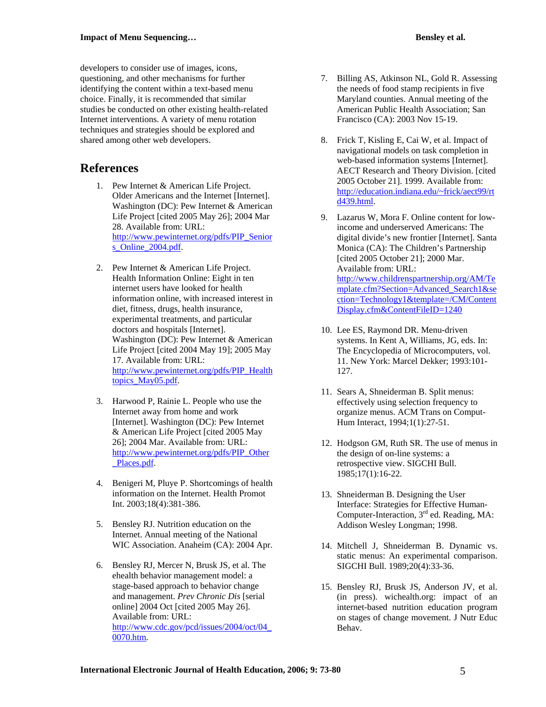developers to consider use of images, icons, questioning, and other mechanisms for further identifying the content within a text-based menu choice. Finally, it is recommended that similar studies be conducted on other existing health-related Internet interventions. A variety of menu rotation techniques and strategies should be explored and shared among other web developers.

#### **References**

- 1. Pew Internet & American Life Project. Older Americans and the Internet [Internet]. Washington (DC): Pew Internet & American Life Project [cited 2005 May 26]; 2004 Mar 28. Available from: URL: [http://www.pewinternet.org/pdfs/PIP\\_Senior](http://www.pewinternet.org/pdfs/PIP_Seniors_Online_2004.pdf) [s\\_Online\\_2004.pdf.](http://www.pewinternet.org/pdfs/PIP_Seniors_Online_2004.pdf)
- 2. Pew Internet & American Life Project. Health Information Online: Eight in ten internet users have looked for health information online, with increased interest in diet, fitness, drugs, health insurance, experimental treatments, and particular doctors and hospitals [Internet]. Washington (DC): Pew Internet & American Life Project [cited 2004 May 19]; 2005 May 17. Available from: URL: [http://www.pewinternet.org/pdfs/PIP\\_Health](http://www.pewinternet.org/pdfs/PIP_Healthtopics_May05.pdf) [topics\\_May05.pdf](http://www.pewinternet.org/pdfs/PIP_Healthtopics_May05.pdf).
- 3. Harwood P, Rainie L. People who use the Internet away from home and work [Internet]. Washington (DC): Pew Internet & American Life Project [cited 2005 May 26]; 2004 Mar. Available from: URL: [http://www.pewinternet.org/pdfs/PIP\\_Other](http://www.pewinternet.org/pdfs/PIP_Other_Places.pdf) [\\_Places.pdf](http://www.pewinternet.org/pdfs/PIP_Other_Places.pdf).
- 4. Benigeri M, Pluye P. Shortcomings of health information on the Internet. Health Promot Int. 2003;18(4):381-386.
- 5. Bensley RJ. Nutrition education on the Internet. Annual meeting of the National WIC Association. Anaheim (CA): 2004 Apr.
- 6. Bensley RJ, Mercer N, Brusk JS, et al. The ehealth behavior management model: a stage-based approach to behavior change and management. *Prev Chronic Dis* [serial online] 2004 Oct [cited 2005 May 26]. Available from: URL: [http://www.cdc.gov/pcd/issues/2004/oct/04\\_](http://www.cdc.gov/pcd/issues/2004/oct/04_0070.htm) [0070.htm.](http://www.cdc.gov/pcd/issues/2004/oct/04_0070.htm)
- 7. Billing AS, Atkinson NL, Gold R. Assessing the needs of food stamp recipients in five Maryland counties. Annual meeting of the American Public Health Association; San Francisco (CA): 2003 Nov 15-19.
- 8. Frick T, Kisling E, Cai W, et al. Impact of navigational models on task completion in web-based information systems [Internet]. AECT Research and Theory Division. [cited 2005 October 21]. 1999. Available from: [http://education.indiana.edu/~frick/aect99/rt](http://education.indiana.edu/%7Efrick/aect99/rtd439.html) [d439.html.](http://education.indiana.edu/%7Efrick/aect99/rtd439.html)
- 9. Lazarus W, Mora F. Online content for lowincome and underserved Americans: The digital divide's new frontier [Internet]. Santa Monica (CA): The Children's Partnership [cited 2005 October 21]; 2000 Mar. Available from: URL: [http://www.childrenspartnership.org/AM/Te](http://www.childrenspartnership.org/AM/Template.cfm?Section=Advanced_Search1§ion=Technology1&template=/CM/ContentDisplay.cfm&ContentFileID=1240) [mplate.cfm?Section=Advanced\\_Search1&se](http://www.childrenspartnership.org/AM/Template.cfm?Section=Advanced_Search1§ion=Technology1&template=/CM/ContentDisplay.cfm&ContentFileID=1240) [ction=Technology1&template=/CM/Content](http://www.childrenspartnership.org/AM/Template.cfm?Section=Advanced_Search1§ion=Technology1&template=/CM/ContentDisplay.cfm&ContentFileID=1240) [Display.cfm&ContentFileID=1240](http://www.childrenspartnership.org/AM/Template.cfm?Section=Advanced_Search1§ion=Technology1&template=/CM/ContentDisplay.cfm&ContentFileID=1240)
- 10. Lee ES, Raymond DR. Menu-driven systems. In Kent A, Williams, JG, eds. In: The Encyclopedia of Microcomputers, vol. 11. New York: Marcel Dekker; 1993:101- 127.
- 11. Sears A, Shneiderman B. Split menus: effectively using selection frequency to organize menus. ACM Trans on Comput-Hum Interact, 1994;1(1):27-51.
- 12. Hodgson GM, Ruth SR. The use of menus in the design of on-line systems: a retrospective view. SIGCHI Bull. 1985;17(1):16-22.
- 13. Shneiderman B. Designing the User Interface: Strategies for Effective Human-Computer-Interaction, 3<sup>rd</sup> ed. Reading, MA: Addison Wesley Longman; 1998.
- 14. Mitchell J, Shneiderman B. Dynamic vs. static menus: An experimental comparison. SIGCHI Bull. 1989;20(4):33-36.
- 15. Bensley RJ, Brusk JS, Anderson JV, et al. (in press). wichealth.org: impact of an internet-based nutrition education program on stages of change movement. J Nutr Educ Behav.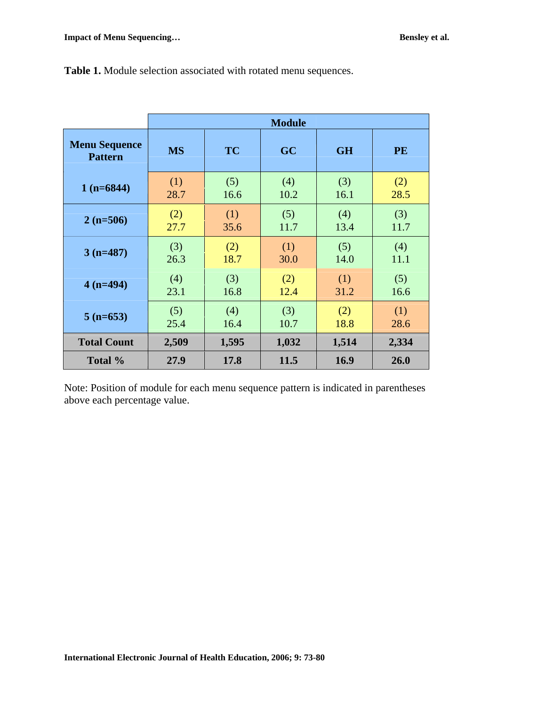|                                        | <b>Module</b> |           |       |           |           |
|----------------------------------------|---------------|-----------|-------|-----------|-----------|
| <b>Menu Sequence</b><br><b>Pattern</b> | <b>MS</b>     | <b>TC</b> | GC    | <b>GH</b> | <b>PE</b> |
| $1(n=6844)$                            | (1)           | (5)       | (4)   | (3)       | (2)       |
|                                        | 28.7          | 16.6      | 10.2  | 16.1      | 28.5      |
| $2(n=506)$                             | (2)           | (1)       | (5)   | (4)       | (3)       |
|                                        | 27.7          | 35.6      | 11.7  | 13.4      | 11.7      |
| $3(n=487)$                             | (3)           | (2)       | (1)   | (5)       | (4)       |
|                                        | 26.3          | 18.7      | 30.0  | 14.0      | 11.1      |
| $4(n=494)$                             | (4)           | (3)       | (2)   | (1)       | (5)       |
|                                        | 23.1          | 16.8      | 12.4  | 31.2      | 16.6      |
| $5(n=653)$                             | (5)           | (4)       | (3)   | (2)       | (1)       |
|                                        | 25.4          | 16.4      | 10.7  | 18.8      | 28.6      |
| <b>Total Count</b>                     | 2,509         | 1,595     | 1,032 | 1,514     | 2,334     |
| Total %                                | 27.9          | 17.8      | 11.5  | 16.9      | 26.0      |

**Table 1.** Module selection associated with rotated menu sequences.

Note: Position of module for each menu sequence pattern is indicated in parentheses above each percentage value.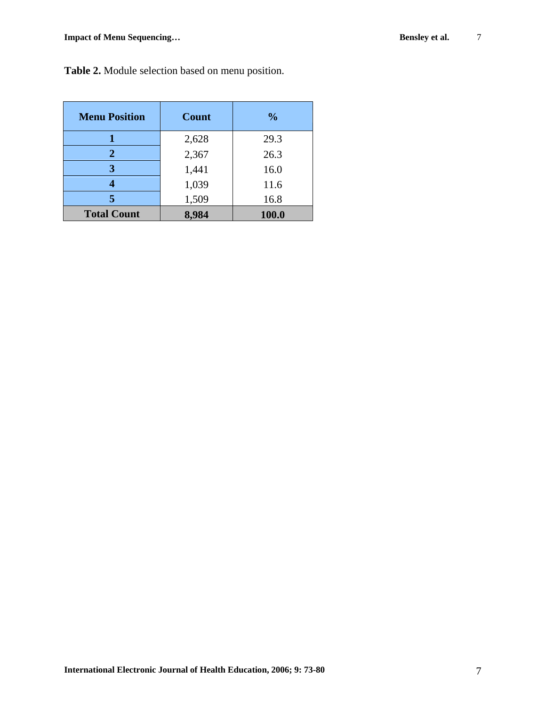| <b>Menu Position</b> | <b>Count</b> | $\frac{0}{0}$ |  |
|----------------------|--------------|---------------|--|
|                      | 2,628        | 29.3          |  |
| 2                    | 2,367        | 26.3          |  |
| 3                    | 1,441        | 16.0          |  |
|                      | 1,039        | 11.6          |  |
| 5                    | 1,509        | 16.8          |  |
| <b>Total Count</b>   | 8,984        | 100.0         |  |

**Table 2.** Module selection based on menu position.